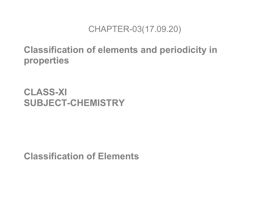#### CHAPTER-03(17.09.20)

# **Classification of elements and periodicity in properties**

# **CLASS-XI SUBJECT-CHEMISTRY**

**Classification of Elements**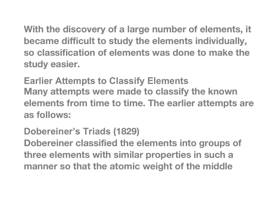**With the discovery of a large number of elements, it became difficult to study the elements individually, so classification of elements was done to make the study easier.**

**Earlier Attempts to Classify Elements Many attempts were made to classify the known elements from time to time. The earlier attempts are as follows:**

### **Dobereiner's Triads (1829)**

**Dobereiner classified the elements into groups of three elements with similar properties in such a manner so that the atomic weight of the middle**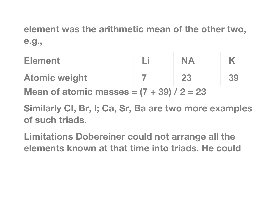**element was the arithmetic mean of the other two, e.g.,**

- **Element Li NA K Atomic weight 7 23 39 Mean of atomic masses = (7 + 39) / 2 = 23**
- **Similarly CI, Br, I; Ca, Sr, Ba are two more examples of such triads.**
- **Limitations Dobereiner could not arrange all the elements known at that time into triads. He could**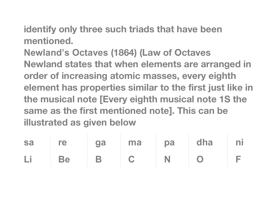**identify only three such triads that have been mentioned.**

**Newland's Octaves (1864) (Law of Octaves Newland states that when elements are arranged in order of increasing atomic masses, every eighth element has properties similar to the first just like in the musical note [Every eighth musical note 1S the same as the first mentioned note]. This can be illustrated as given below**

|  |  | sa re ga ma pa dha ni |  |
|--|--|-----------------------|--|
|  |  | Li Be B C N O F       |  |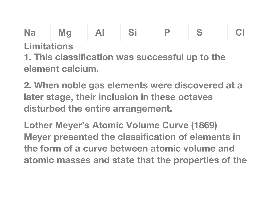**Na Mg AI Si P S CI Limitations 1. This classification was successful up to the element calcium.**

**2. When noble gas elements were discovered at a later stage, their inclusion in these octaves disturbed the entire arrangement.**

**Lother Meyer's Atomic Volume Curve (1869) Meyer presented the classification of elements in the form of a curve between atomic volume and atomic masses and state that the properties of the**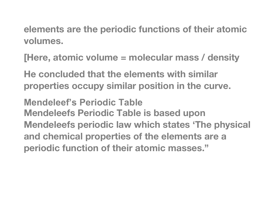**elements are the periodic functions of their atomic volumes.**

**[Here, atomic volume = molecular mass / density**

**He concluded that the elements with similar properties occupy similar position in the curve.**

**Mendeleef's Periodic Table Mendeleefs Periodic Table is based upon Mendeleefs periodic law which states 'The physical and chemical properties of the elements are a periodic function of their atomic masses."**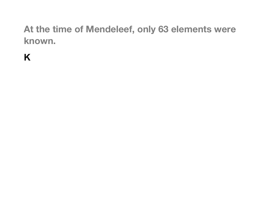# **At the time of Mendeleef, only 63 elements were known.**

**K**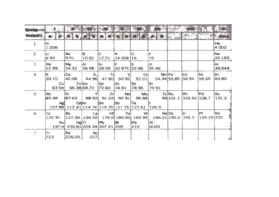| <b>STOUD</b><br>riod - |                    |                                                          |                 |                      |                         |                                                                       |                                                                                             |                           |                                       |                   |               |  |
|------------------------|--------------------|----------------------------------------------------------|-----------------|----------------------|-------------------------|-----------------------------------------------------------------------|---------------------------------------------------------------------------------------------|---------------------------|---------------------------------------|-------------------|---------------|--|
|                        |                    |                                                          |                 |                      |                         |                                                                       |                                                                                             |                           |                                       |                   |               |  |
| $\mathbf{I}$           | Ħ<br>1.008         |                                                          |                 |                      |                         |                                                                       |                                                                                             |                           |                                       |                   | He<br>4.003   |  |
| $\overline{2}$         | Li.<br>6.94        | Be<br>9.01                                               | e<br>10.82      | c<br>12.01           | iN.<br>14.008 16        | o                                                                     | F<br>19                                                                                     |                           |                                       |                   | Ne<br>20.183  |  |
| $\exists$              | Na<br>22.99        | Mg.<br>24.32                                             | AI.<br>26.98    | 'Si<br>28.09         | 30.975 32.06            | s                                                                     | α<br>35.46                                                                                  |                           |                                       |                   | Ar<br>39.944. |  |
| ă.                     | K<br>39.10<br>Cul  | Ca<br>40.08<br>$Zn$ Ga<br>63.54 65.38 69.72              | Sci             | Ts<br>Ge<br>72.60    | v<br><b>As</b><br>74.91 | 44.96 47.90 50.95 52.01<br>Se<br>78.96                                | $Mn$ $Fe$<br>Cr<br>54.94 55.85<br>Br<br>79.91                                               |                           | ICo.<br>58.94                         | NI.<br>58.69      | Kr<br>83.80   |  |
| 5                      | <b>Rb</b><br>85.48 | isr.<br>87.63                                            | 88.92<br>Callin | Zrl<br>91.22<br>l Sn | Nb<br>92.91<br>is.      | Moi<br>95.95<br>Te<br>107.88 112 41 114.76 118.70 121.76 127.61 126.9 | TelRu                                                                                       | 99 101.1                  | <b>R</b> <sub>1</sub><br>102.91 106.7 | Pd                | Xe<br>131.3   |  |
| 6                      | Cs<br>Aul          | <b>Ba</b><br>Hg(T)<br>197.0 200.61 204.39 207.21 209 210 | a               | Hif<br>Pb            | Tal<br>$-1$             | WI<br> Po                                                             | Re Os<br>132.91  137.36  138.92   178.6   180.92   183.92   186.31   190.2<br>At *<br>12101 | $\mathbb{R}^{n \times n}$ | l Ir<br>192.2                         | Pt.<br>195.23 222 | Rп            |  |
| $\mathcal{I}$          | Fr<br>223          | Ra<br> 226.05                                            | AC.<br>227      |                      |                         |                                                                       |                                                                                             |                           |                                       |                   |               |  |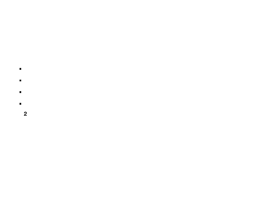- $\blacksquare$  $\blacksquare$
- $\blacksquare$
- $\blacksquare$  $\overline{2}$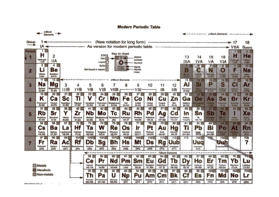

#### **Modern Periodic Table**